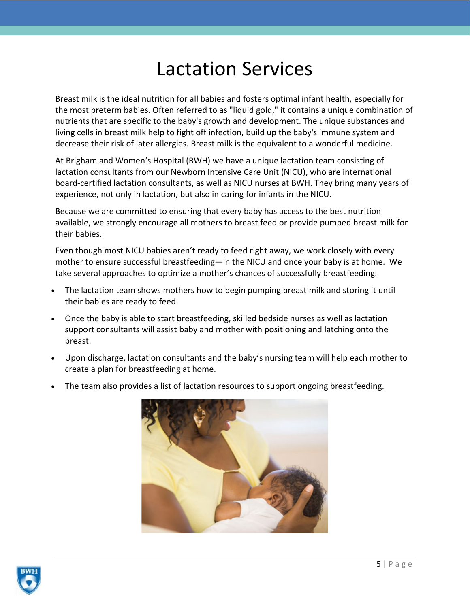## Lactation Services

Breast milk is the ideal nutrition for all babies and fosters optimal infant health, especially for the most preterm babies. Often referred to as "liquid gold," it contains a unique combination of nutrients that are specific to the baby's growth and development. The unique substances and living cells in breast milk help to fight off infection, build up the baby's immune system and decrease their risk of later allergies. Breast milk is the equivalent to a wonderful medicine.

At Brigham and Women's Hospital (BWH) we have a unique lactation team consisting of lactation consultants from our Newborn Intensive Care Unit (NICU), who are international board-certified lactation consultants, as well as NICU nurses at BWH. They bring many years of experience, not only in lactation, but also in caring for infants in the NICU.

Because we are committed to ensuring that every baby has access to the best nutrition available, we strongly encourage all mothers to breast feed or provide pumped breast milk for their babies.

Even though most NICU babies aren't ready to feed right away, we work closely with every mother to ensure successful breastfeeding—in the NICU and once your baby is at home. We take several approaches to optimize a mother's chances of successfully breastfeeding.

- The lactation team shows mothers how to begin pumping breast milk and storing it until their babies are ready to feed.
- Once the baby is able to start breastfeeding, skilled bedside nurses as well as lactation support consultants will assist baby and mother with positioning and latching onto the breast.
- Upon discharge, lactation consultants and the baby's nursing team will help each mother to create a plan for breastfeeding at home.
- The team also provides a list of lactation resources to support ongoing breastfeeding.